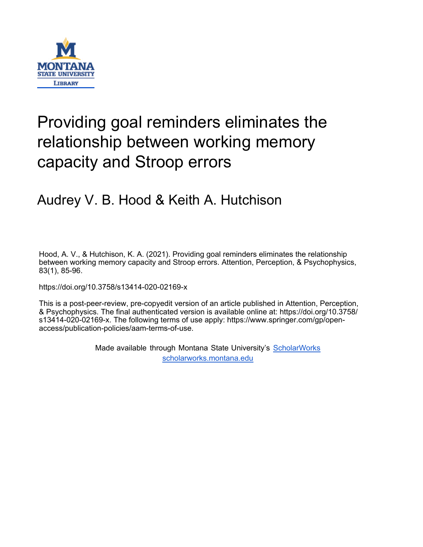

# Providing goal reminders eliminates the relationship between working memory capacity and Stroop errors

## Audrey V. B. Hood & Keith A. Hutchison

Hood, A. V., & Hutchison, K. A. (2021). Providing goal reminders eliminates the relationship between working memory capacity and Stroop errors. Attention, Perception, & Psychophysics, 83(1), 85-96.

https://doi.org/10.3758/s13414-020-02169-x

This is a post-peer-review, pre-copyedit version of an article published in Attention, Perception, & Psychophysics. The final authenticated version is available online at: https://doi.org/10.3758/ s13414-020-02169-x. The following terms of use apply: https://www.springer.com/gp/openaccess/publication-policies/aam-terms-of-use.

> Made available through Montana State University's ScholarWorks scholarworks.montana.edu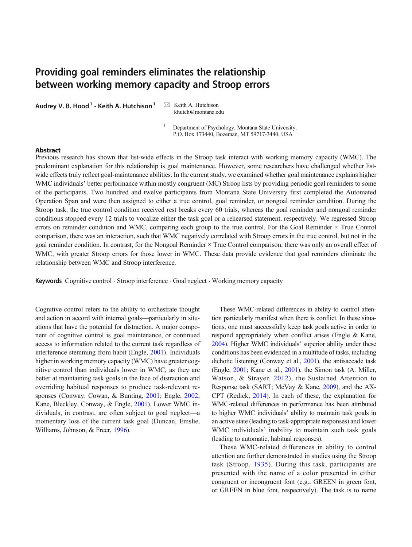### Providing goal reminders eliminates the relationship between working memory capacity and Stroop errors

1

Audrey V. B. Hood<sup>1</sup>  $\cdot$  Keith A. Hutchison<sup>1</sup>

 $\boxtimes$  Keith A. Hutchison khutch@montana.edu

Department of Psychology, Montana State University, P.O. Box 173440, Bozeman, MT 59717-3440, USA

#### Abstract

Previous research has shown that list-wide effects in the Stroop task interact with working memory capacity (WMC). The predominant explanation for this relationship is goal maintenance. However, some researchers have challenged whether listwide effects truly reflect goal-maintenance abilities. In the current study, we examined whether goal maintenance explains higher WMC individuals' better performance within mostly congruent (MC) Stroop lists by providing periodic goal reminders to some of the participants. Two hundred and twelve participants from Montana State University first completed the Automated Operation Span and were then assigned to either a true control, goal reminder, or nongoal reminder condition. During the Stroop task, the true control condition received rest breaks every 60 trials, whereas the goal reminder and nongoal reminder conditions stopped every 12 trials to vocalize either the task goal or a rehearsed statement, respectively. We regressed Stroop errors on reminder condition and WMC, comparing each group to the true control. For the Goal Reminder  $\times$  True Control comparison, there was an interaction, such that WMC negatively correlated with Stroop errors in the true control, but not in the goal reminder condition. In contrast, for the Nongoal Reminder × True Control comparison, there was only an overall effect of WMC, with greater Stroop errors for those lower in WMC. These data provide evidence that goal reminders eliminate the relationship between WMC and Stroop interference.

Keywords Cognitive control . Stroop interference . Goal neglect . Working memory capacity

Cognitive control refers to the ability to orchestrate thought and action in accord with internal goals—particularly in situations that have the potential for distraction. A major component of cognitive control is goal maintenance, or continued access to information related to the current task regardless of interference stemming from habit (Engle, [2001\)](#page-11-0). Individuals higher in working memory capacity (WMC) have greater cognitive control than individuals lower in WMC, as they are better at maintaining task goals in the face of distraction and overriding habitual responses to produce task-relevant responses (Conway, Cowan, & Bunting, [2001](#page-10-0); Engle, [2002](#page-11-0); Kane, Bleckley, Conway, & Engle, [2001\)](#page-11-0). Lower WMC individuals, in contrast, are often subject to goal neglect—a momentary loss of the current task goal (Duncan, Emslie, Williams, Johnson, & Freer, [1996\)](#page-11-0).

These WMC-related differences in ability to control attention particularly manifest when there is conflict. In these situations, one must successfully keep task goals active in order to respond appropriately when conflict arises (Engle & Kane, [2004](#page-11-0)). Higher WMC individuals' superior ability under these conditions has been evidenced in a multitude of tasks, including dichotic listening (Conway et al., [2001](#page-10-0)), the antisaccade task (Engle, [2001](#page-11-0); Kane et al., [2001\)](#page-11-0), the Simon task (A. Miller, Watson, & Strayer, [2012](#page-11-0)), the Sustained Attention to Response task (SART; McVay & Kane, [2009](#page-11-0)), and the AX-CPT (Redick, [2014](#page-11-0)). In each of these, the explanation for WMC-related differences in performance has been attributed to higher WMC individuals' ability to maintain task goals in an active state (leading to task-appropriate responses) and lower WMC individuals' inability to maintain such task goals (leading to automatic, habitual responses).

These WMC-related differences in ability to control attention are further demonstrated in studies using the Stroop task (Stroop, [1935](#page-12-0)). During this task, participants are presented with the name of a color presented in either congruent or incongruent font (e.g., GREEN in green font, or GREEN in blue font, respectively). The task is to name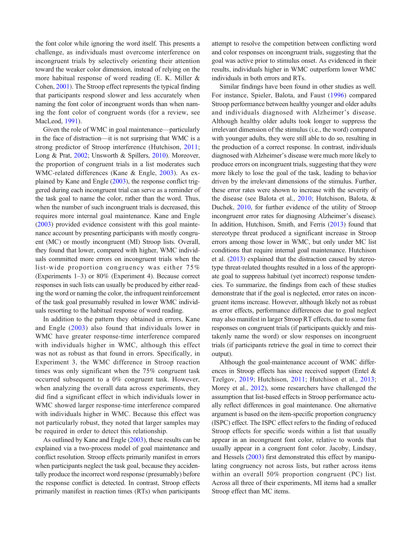the font color while ignoring the word itself. This presents a challenge, as individuals must overcome interference on incongruent trials by selectively orienting their attention toward the weaker color dimension, instead of relying on the more habitual response of word reading (E. K. Miller & Cohen, [2001\)](#page-11-0). The Stroop effect represents the typical finding that participants respond slower and less accurately when naming the font color of incongruent words than when naming the font color of congruent words (for a review, see MacLeod, [1991\)](#page-11-0).

Given the role of WMC in goal maintenance—particularly in the face of distraction—it is not surprising that WMC is a strong predictor of Stroop interference (Hutchison, [2011](#page-11-0); Long & Prat, [2002;](#page-11-0) Unsworth & Spillers, [2010\)](#page-12-0). Moreover, the proportion of congruent trials in a list moderates such WMC-related differences (Kane & Engle, [2003](#page-11-0)). As explained by Kane and Engle [\(2003\)](#page-11-0), the response conflict triggered during each incongruent trial can serve as a reminder of the task goal to name the color, rather than the word. Thus, when the number of such incongruent trials is decreased, this requires more internal goal maintenance. Kane and Engle [\(2003\)](#page-11-0) provided evidence consistent with this goal maintenance account by presenting participants with mostly congruent (MC) or mostly incongruent (MI) Stroop lists. Overall, they found that lower, compared with higher, WMC individuals committed more errors on incongruent trials when the list-wide proportion congruency was either 75% (Experiments 1–3) or 80% (Experiment 4). Because correct responses in such lists can usually be produced by either reading the word or naming the color, the infrequent reinforcement of the task goal presumably resulted in lower WMC individuals resorting to the habitual response of word reading.

In addition to the pattern they obtained in errors, Kane and Engle ([2003\)](#page-11-0) also found that individuals lower in WMC have greater response-time interference compared with individuals higher in WMC, although this effect was not as robust as that found in errors. Specifically, in Experiment 3, the WMC difference in Stroop reaction times was only significant when the 75% congruent task occurred subsequent to a 0% congruent task. However, when analyzing the overall data across experiments, they did find a significant effect in which individuals lower in WMC showed larger response-time interference compared with individuals higher in WMC. Because this effect was not particularly robust, they noted that larger samples may be required in order to detect this relationship.

As outlined by Kane and Engle [\(2003](#page-11-0)), these results can be explained via a two-process model of goal maintenance and conflict resolution. Stroop effects primarily manifest in errors when participants neglect the task goal, because they accidentally produce the incorrect word response (presumably) before the response conflict is detected. In contrast, Stroop effects primarily manifest in reaction times (RTs) when participants attempt to resolve the competition between conflicting word and color responses on incongruent trials, suggesting that the goal was active prior to stimulus onset. As evidenced in their results, individuals higher in WMC outperform lower WMC individuals in both errors and RTs.

Similar findings have been found in other studies as well. For instance, Spieler, Balota, and Faust ([1996\)](#page-11-0) compared Stroop performance between healthy younger and older adults and individuals diagnosed with Alzheimer's disease. Although healthy older adults took longer to suppress the irrelevant dimension of the stimulus (i.e., the word) compared with younger adults, they were still able to do so, resulting in the production of a correct response. In contrast, individuals diagnosed with Alzheimer's disease were much more likely to produce errors on incongruent trials, suggesting that they were more likely to lose the goal of the task, leading to behavior driven by the irrelevant dimensions of the stimulus. Further, these error rates were shown to increase with the severity of the disease (see Balota et al., [2010;](#page-10-0) Hutchison, Balota, & Duchek, [2010,](#page-11-0) for further evidence of the utility of Stroop incongruent error rates for diagnosing Alzheimer's disease). In addition, Hutchison, Smith, and Ferris [\(2013\)](#page-11-0) found that stereotype threat produced a significant increase in Stroop errors among those lower in WMC, but only under MC list conditions that require internal goal maintenance. Hutchison et al. [\(2013\)](#page-11-0) explained that the distraction caused by stereotype threat-related thoughts resulted in a loss of the appropriate goal to suppress habitual (yet incorrect) response tendencies. To summarize, the findings from each of these studies demonstrate that if the goal is neglected, error rates on incongruent items increase. However, although likely not as robust as error effects, performance differences due to goal neglect may also manifest in larger Stroop RT effects, due to some fast responses on congruent trials (if participants quickly and mistakenly name the word) or slow responses on incongruent trials (if participants retrieve the goal in time to correct their output).

Although the goal-maintenance account of WMC differences in Stroop effects has since received support (Entel & Tzelgov, [2019](#page-11-0); Hutchison, [2011](#page-11-0); Hutchison et al., [2013;](#page-11-0) Morey et al., [2012](#page-11-0)), some researchers have challenged the assumption that list-based effects in Stroop performance actually reflect differences in goal maintenance. One alternative argument is based on the item-specific proportion congruency (ISPC) effect. The ISPC effect refers to the finding of reduced Stroop effects for specific words within a list that usually appear in an incongruent font color, relative to words that usually appear in a congruent font color. Jacoby, Lindsay, and Hessels ([2003](#page-11-0)) first demonstrated this effect by manipulating congruency not across lists, but rather across items within an overall 50% proportion congruent (PC) list. Across all three of their experiments, MI items had a smaller Stroop effect than MC items.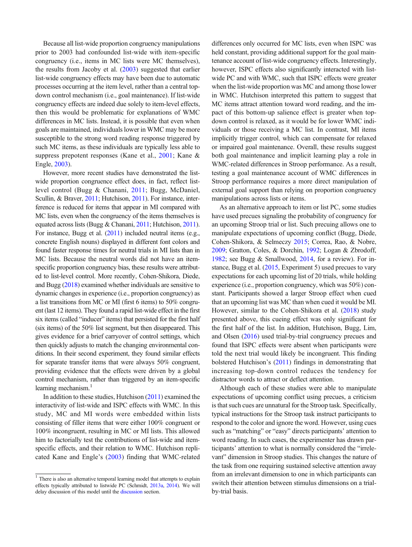Because all list-wide proportion congruency manipulations prior to 2003 had confounded list-wide with item-specific congruency (i.e., items in MC lists were MC themselves), the results from Jacoby et al. ([2003\)](#page-11-0) suggested that earlier list-wide congruency effects may have been due to automatic processes occurring at the item level, rather than a central topdown control mechanism (i.e., goal maintenance). If list-wide congruency effects are indeed due solely to item-level effects, then this would be problematic for explanations of WMC differences in MC lists. Instead, it is possible that even when goals are maintained, individuals lower in WMC may be more susceptible to the strong word reading response triggered by such MC items, as these individuals are typically less able to suppress prepotent responses (Kane et al., [2001;](#page-11-0) Kane & Engle, [2003](#page-11-0)).

However, more recent studies have demonstrated the listwide proportion congruence effect does, in fact, reflect listlevel control (Bugg & Chanani, [2011](#page-10-0); Bugg, McDaniel, Scullin, & Braver, [2011](#page-10-0); Hutchison, [2011\)](#page-11-0). For instance, interference is reduced for items that appear in MI compared with MC lists, even when the congruency of the items themselves is equated across lists (Bugg & Chanani, [2011](#page-10-0); Hutchison, [2011\)](#page-11-0). For instance, Bugg et al. ([2011\)](#page-10-0) included neutral items (e.g., concrete English nouns) displayed in different font colors and found faster response times for neutral trials in MI lists than in MC lists. Because the neutral words did not have an itemspecific proportion congruency bias, these results were attributed to list-level control. More recently, Cohen-Shikora, Diede, and Bugg [\(2018](#page-10-0)) examined whether individuals are sensitive to dynamic changes in experience (i.e., proportion congruency) as a list transitions from MC or MI (first 6 items) to 50% congruent (last 12 items). They found a rapid list-wide effect in the first six items (called "inducer" items) that persisted for the first half (six items) of the 50% list segment, but then disappeared. This gives evidence for a brief carryover of control settings, which then quickly adjusts to match the changing environmental conditions. In their second experiment, they found similar effects for separate transfer items that were always 50% congruent, providing evidence that the effects were driven by a global control mechanism, rather than triggered by an item-specific learning mechanism. $<sup>1</sup>$ </sup>

In addition to these studies, Hutchison [\(2011\)](#page-11-0) examined the interactivity of list-wide and ISPC effects with WMC. In this study, MC and MI words were embedded within lists consisting of filler items that were either 100% congruent or 100% incongruent, resulting in MC or MI lists. This allowed him to factorially test the contributions of list-wide and itemspecific effects, and their relation to WMC. Hutchison replicated Kane and Engle's ([2003\)](#page-11-0) finding that WMC-related

differences only occurred for MC lists, even when ISPC was held constant, providing additional support for the goal maintenance account of list-wide congruency effects. Interestingly, however, ISPC effects also significantly interacted with listwide PC and with WMC, such that ISPC effects were greater when the list-wide proportion was MC and among those lower in WMC. Hutchison interpreted this pattern to suggest that MC items attract attention toward word reading, and the impact of this bottom-up salience effect is greater when topdown control is relaxed, as it would be for lower WMC individuals or those receiving a MC list. In contrast, MI items implicitly trigger control, which can compensate for relaxed or impaired goal maintenance. Overall, these results suggest both goal maintenance and implicit learning play a role in WMC-related differences in Stroop performance. As a result, testing a goal maintenance account of WMC differences in Stroop performance requires a more direct manipulation of external goal support than relying on proportion congruency manipulations across lists or items.

As an alternative approach to item or list PC, some studies have used precues signaling the probability of congruency for an upcoming Stroop trial or list. Such precuing allows one to manipulate expectations of upcoming conflict (Bugg, Diede, Cohen-Shikora, & Selmeczy [2015;](#page-10-0) Correa, Rao, & Nobre, [2009;](#page-11-0) Gratton, Coles, & Dorchin, [1992](#page-11-0); Logan & Zbrodoff, [1982;](#page-11-0) see Bugg & Smallwood, [2014](#page-10-0), for a review). For instance, Bugg et al. ([2015](#page-10-0), Experiment 5) used precues to vary expectations for each upcoming list of 20 trials, while holding experience (i.e., proportion congruency, which was 50%) constant. Participants showed a larger Stroop effect when cued that an upcoming list was MC than when cued it would be MI. However, similar to the Cohen-Shikora et al. [\(2018\)](#page-10-0) study presented above, this cueing effect was only significant for the first half of the list. In addition, Hutchison, Bugg, Lim, and Olsen [\(2016\)](#page-11-0) used trial-by-trial congruency precues and found that ISPC effects were absent when participants were told the next trial would likely be incongruent. This finding bolstered Hutchison's [\(2011\)](#page-11-0) findings in demonstrating that increasing top-down control reduces the tendency for distractor words to attract or deflect attention.

Although each of these studies were able to manipulate expectations of upcoming conflict using precues, a criticism is that such cues are unnatural for the Stroop task. Specifically, typical instructions for the Stroop task instruct participants to respond to the color and ignore the word. However, using cues such as "matching" or "easy" directs participants' attention to word reading. In such cases, the experimenter has drawn participants' attention to what is normally considered the "irrelevant" dimension in Stroop studies. This changes the nature of the task from one requiring sustained selective attention away from an irrelevant dimension to one in which participants can switch their attention between stimulus dimensions on a trialby-trial basis.

<sup>&</sup>lt;sup>1</sup> There is also an alternative temporal learning model that attempts to explain effects typically attributed to listwide PC (Schmidt, [2013a,](#page-11-0) [2014](#page-11-0)). We will delay discussion of this model until the [discussion](#page-8-0) section.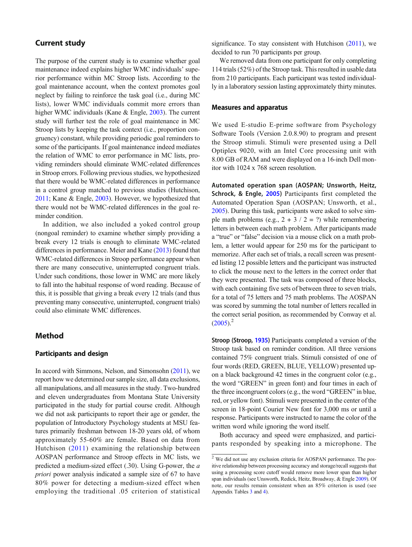#### Current study

The purpose of the current study is to examine whether goal maintenance indeed explains higher WMC individuals' superior performance within MC Stroop lists. According to the goal maintenance account, when the context promotes goal neglect by failing to reinforce the task goal (i.e., during MC lists), lower WMC individuals commit more errors than higher WMC individuals (Kane & Engle, [2003\)](#page-11-0). The current study will further test the role of goal maintenance in MC Stroop lists by keeping the task context (i.e., proportion congruency) constant, while providing periodic goal reminders to some of the participants. If goal maintenance indeed mediates the relation of WMC to error performance in MC lists, providing reminders should eliminate WMC-related differences in Stroop errors. Following previous studies, we hypothesized that there would be WMC-related differences in performance in a control group matched to previous studies (Hutchison, [2011;](#page-11-0) Kane & Engle, [2003](#page-11-0)). However, we hypothesized that there would not be WMC-related differences in the goal reminder condition.

In addition, we also included a yoked control group (nongoal reminder) to examine whether simply providing a break every 12 trials is enough to eliminate WMC-related differences in performance. Meier and Kane [\(2013\)](#page-11-0) found that WMC-related differences in Stroop performance appear when there are many consecutive, uninterrupted congruent trials. Under such conditions, those lower in WMC are more likely to fall into the habitual response of word reading. Because of this, it is possible that giving a break every 12 trials (and thus preventing many consecutive, uninterrupted, congruent trials) could also eliminate WMC differences.

#### Method

#### Participants and design

In accord with Simmons, Nelson, and Simonsohn [\(2011\)](#page-11-0), we report how we determined our sample size, all data exclusions, all manipulations, and all measures in the study. Two-hundred and eleven undergraduates from Montana State University participated in the study for partial course credit. Although we did not ask participants to report their age or gender, the population of Introductory Psychology students at MSU features primarily freshman between 18-20 years old, of whom approximately 55-60% are female. Based on data from Hutchison ([2011](#page-11-0)) examining the relationship between AOSPAN performance and Stroop effects in MC lists, we predicted a medium-sized effect (.30). Using G-power, the a priori power analysis indicated a sample size of 67 to have 80% power for detecting a medium-sized effect when employing the traditional .05 criterion of statistical significance. To stay consistent with Hutchison ([2011](#page-11-0)), we decided to run 70 participants per group.

We removed data from one participant for only completing 114 trials (52%) of the Stroop task. This resulted in usable data from 210 participants. Each participant was tested individually in a laboratory session lasting approximately thirty minutes.

#### Measures and apparatus

We used E-studio E-prime software from Psychology Software Tools (Version 2.0.8.90) to program and present the Stroop stimuli. Stimuli were presented using a Dell Optiplex 9020, with an Intel Core processing unit with 8.00 GB of RAM and were displayed on a 16-inch Dell monitor with 1024 x 768 screen resolution.

Automated operation span (AOSPAN; Unsworth, Heitz, Schrock, & Engle, [2005\)](#page-12-0) Participants first completed the Automated Operation Span (AOSPAN; Unsworth, et al., [2005\)](#page-12-0). During this task, participants were asked to solve simple math problems (e.g.,  $2 + 3 / 2 = ?$ ) while remembering letters in between each math problem. After participants made a "true" or "false" decision via a mouse click on a math problem, a letter would appear for 250 ms for the participant to memorize. After each set of trials, a recall screen was presented listing 12 possible letters and the participant was instructed to click the mouse next to the letters in the correct order that they were presented. The task was composed of three blocks, with each containing five sets of between three to seven trials, for a total of 75 letters and 75 math problems. The AOSPAN was scored by summing the total number of letters recalled in the correct serial position, as recommended by Conway et al.  $(2005)^2$  $(2005)^2$ 

Stroop (Stroop, [1935\)](#page-12-0) Participants completed a version of the Stroop task based on reminder condition. All three versions contained 75% congruent trials. Stimuli consisted of one of four words (RED, GREEN, BLUE, YELLOW) presented upon a black background 42 times in the congruent color (e.g., the word "GREEN" in green font) and four times in each of the three incongruent colors (e.g., the word "GREEN" in blue, red, or yellow font). Stimuli were presented in the center of the screen in 18-point Courier New font for 3,000 ms or until a response. Participants were instructed to name the color of the written word while ignoring the word itself.

Both accuracy and speed were emphasized, and participants responded by speaking into a microphone. The

 $2\overline{V}$  We did not use any exclusion criteria for AOSPAN performance. The positive relationship between processing accuracy and storage/recall suggests that using a processing score cutoff would remove more lower span than higher span individuals (see Unsworth, Redick, Heitz, Broadway, & Engle [2009\)](#page-12-0). Of note, our results remain consistent when an 85% criterion is used (see Appendix Tables [3](#page-10-0) and [4](#page-10-0)).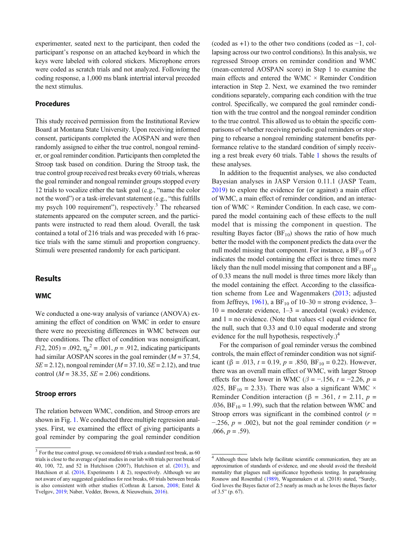experimenter, seated next to the participant, then coded the participant's response on an attached keyboard in which the keys were labeled with colored stickers. Microphone errors were coded as scratch trials and not analyzed. Following the coding response, a 1,000 ms blank intertrial interval preceded the next stimulus.

#### Procedures

This study received permission from the Institutional Review Board at Montana State University. Upon receiving informed consent, participants completed the AOSPAN and were then randomly assigned to either the true control, nongoal reminder, or goal reminder condition. Participants then completed the Stroop task based on condition. During the Stroop task, the true control group received rest breaks every 60 trials, whereas the goal reminder and nongoal reminder groups stopped every 12 trials to vocalize either the task goal (e.g., "name the color not the word") or a task-irrelevant statement (e.g., "this fulfills my psych 100 requirement"), respectively. $3$  The rehearsed statements appeared on the computer screen, and the participants were instructed to read them aloud. Overall, the task contained a total of 216 trials and was preceded with 16 practice trials with the same stimuli and proportion congruency. Stimuli were presented randomly for each participant.

#### **Results**

#### WMC

We conducted a one-way analysis of variance (ANOVA) examining the effect of condition on WMC in order to ensure there were no preexisting differences in WMC between our three conditions. The effect of condition was nonsignificant,  $F(2, 205) = .092$ ,  $\eta_p^2 = .001$ ,  $p = .912$ , indicating participants had similar AOSPAN scores in the goal reminder  $(M = 37.54,$  $SE = 2.12$ ), nongoal reminder ( $M = 37.10$ ,  $SE = 2.12$ ), and true control ( $M = 38.35$ ,  $SE = 2.06$ ) conditions.

#### Stroop errors

The relation between WMC, condition, and Stroop errors are shown in Fig. [1.](#page-6-0) We conducted three multiple regression analyses. First, we examined the effect of giving participants a goal reminder by comparing the goal reminder condition

(coded as  $+1$ ) to the other two conditions (coded as  $-1$ , collapsing across our two control conditions). In this analysis, we regressed Stroop errors on reminder condition and WMC (mean-centered AOSPAN score) in Step 1 to examine the main effects and entered the WMC  $\times$  Reminder Condition interaction in Step 2. Next, we examined the two reminder conditions separately, comparing each condition with the true control. Specifically, we compared the goal reminder condition with the true control and the nongoal reminder condition to the true control. This allowed us to obtain the specific comparisons of whether receiving periodic goal reminders or stopping to rehearse a nongoal reminding statement benefits performance relative to the standard condition of simply receiving a rest break every 60 trials. Table [1](#page-6-0) shows the results of these analyses.

In addition to the frequentist analyses, we also conducted Bayesian analyses in JASP Version 0.11.1 (JASP Team, [2019\)](#page-11-0) to explore the evidence for (or against) a main effect of WMC, a main effect of reminder condition, and an interaction of WMC × Reminder Condition. In each case, we compared the model containing each of these effects to the null model that is missing the component in question. The resulting Bayes factor  $(BF_{10})$  shows the ratio of how much better the model with the component predicts the data over the null model missing that component. For instance, a  $BF_{10}$  of 3 indicates the model containing the effect is three times more likely than the null model missing that component and a  $BF_{10}$ of 0.33 means the null model is three times more likely than the model containing the effect. According to the classification scheme from Lee and Wagenmakers [\(2013](#page-11-0); adjusted from Jeffreys, [1961](#page-11-0)), a BF<sub>10</sub> of 10–30 = strong evidence, 3–  $10 =$  moderate evidence,  $1 - 3 =$  anecdotal (weak) evidence, and  $1 = no$  evidence. (Note that values  $\lt 1$  equal evidence for the null, such that 0.33 and 0.10 equal moderate and strong evidence for the null hypothesis, respectively.) $4$ 

For the comparison of goal reminder versus the combined controls, the main effect of reminder condition was not significant ( $\beta$  = .013, t = 0.19, p = .850, BF<sub>10</sub> = 0.22). However, there was an overall main effect of WMC, with larger Stroop effects for those lower in WMC ( $\beta$  = -.156, t = -2.26, p = .025, BF<sub>10</sub> = 2.33). There was also a significant WMC  $\times$ Reminder Condition interaction ( $\beta$  = .361, t = 2.11, p = .036,  $BF_{10} = 1.99$ ), such that the relation between WMC and Stroop errors was significant in the combined control  $(r =$  $-0.256$ ,  $p = 0.002$ ), but not the goal reminder condition ( $r =$  $.066, p = .59$ ).

<sup>&</sup>lt;sup>3</sup> For the true control group, we considered 60 trials a standard rest break, as 60 trials is close to the average of past studies in our lab with trials per rest break of 40, 100, 72, and 52 in Hutchison (2007), Hutchison et al. [\(2013\)](#page-11-0), and Hutchison et al.  $(2016,$  Experiments 1 & 2), respectively. Although we are not aware of any suggested guidelines for rest breaks, 60 trials between breaks is also consistent with other studies (Cothran & Larson, [2008;](#page-11-0) Entel & Tvelgov, [2019](#page-11-0); Naber, Vedder, Brown, & Nieuwehuis, [2016](#page-11-0)).

<sup>4</sup> Although these labels help facilitate scientific communication, they are an approximation of standards of evidence, and one should avoid the threshold mentality that plagues null significance hypothesis testing. In paraphrasing Rosnow and Rosenthal ([1989](#page-11-0)), Wagenmakers et al. (2018) stated, "Surely, God loves the Bayes factor of 2.5 nearly as much as he loves the Bayes factor of 3.5" (p. 67).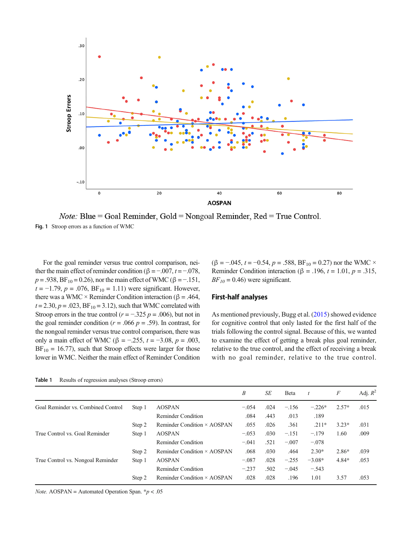<span id="page-6-0"></span>

*Note:* Blue = Goal Reminder, Gold = Nongoal Reminder, Red = True Control. Fig. 1 Stroop errors as a function of WMC

For the goal reminder versus true control comparison, neither the main effect of reminder condition ( $\beta = -0.007$ ,  $t = -0.078$ ,  $p = .938$ , BF<sub>10</sub> = 0.26), nor the main effect of WMC ( $\beta = -.151$ ,  $t = -1.79$ ,  $p = .076$ ,  $BF_{10} = 1.11$ ) were significant. However, there was a WMC  $\times$  Reminder Condition interaction (β = .464,  $t = 2.30, p = .023, BF_{10} = 3.12$ , such that WMC correlated with Stroop errors in the true control ( $r = -0.325$   $p = 0.006$ ), but not in the goal reminder condition ( $r = .066$   $p = .59$ ). In contrast, for the nongoal reminder versus true control comparison, there was only a main effect of WMC (β = −.255, t = −3.08, p = .003,  $BF_{10} = 16.77$ , such that Stroop effects were larger for those lower in WMC. Neither the main effect of Reminder Condition  $(\beta = -.045, t = -0.54, p = .588, BF_{10} = 0.27)$  nor the WMC × Reminder Condition interaction ( $\beta$  = .196, t = 1.01, p = .315,  $BF_{10} = 0.46$ ) were significant.

#### First-half analyses

As mentioned previously, Bugg et al. [\(2015\)](#page-10-0) showed evidence for cognitive control that only lasted for the first half of the trials following the control signal. Because of this, we wanted to examine the effect of getting a break plus goal reminder, relative to the true control, and the effect of receiving a break with no goal reminder, relative to the true control.

Table 1 Results of regression analyses (Stroop errors)

|                                    |        |                                    | B       | SE   | Beta    | $\mathfrak{t}$ | F       | Adj. $R^2$ |
|------------------------------------|--------|------------------------------------|---------|------|---------|----------------|---------|------------|
| Goal Reminder vs. Combined Control | Step 1 | <b>AOSPAN</b>                      | $-.054$ | .024 | $-.156$ | $-.226*$       | $2.57*$ | .015       |
|                                    |        | <b>Reminder Condition</b>          | .084    | .443 | .013    | .189           |         |            |
|                                    | Step 2 | Reminder Condition $\times$ AOSPAN | .055    | .026 | .361    | $.211*$        | $3.23*$ | .031       |
| True Control vs. Goal Reminder     | Step 1 | <b>AOSPAN</b>                      | $-.053$ | .030 | $-.151$ | $-.179$        | 1.60    | .009       |
|                                    |        | <b>Reminder Condition</b>          | $-.041$ | .521 | $-.007$ | $-.078$        |         |            |
|                                    | Step 2 | Reminder Condition $\times$ AOSPAN | .068    | .030 | .464    | $2.30*$        | $2.86*$ | .039       |
| True Control vs. Nongoal Reminder  | Step 1 | <b>AOSPAN</b>                      | $-.087$ | .028 | $-.255$ | $-3.08*$       | $4.84*$ | .053       |
|                                    |        | <b>Reminder Condition</b>          | $-.237$ | .502 | $-.045$ | $-.543$        |         |            |
|                                    | Step 2 | Reminder Condition $\times$ AOSPAN | .028    | .028 | .196    | 1.01           | 3.57    | .053       |

*Note.* AOSPAN = Automated Operation Span.  $* p < .05$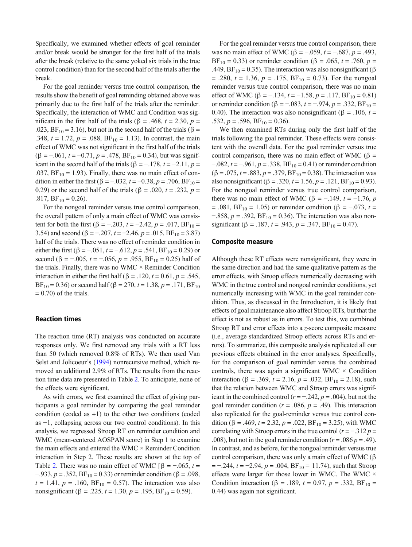Specifically, we examined whether effects of goal reminder and/or break would be stronger for the first half of the trials after the break (relative to the same yoked six trials in the true control condition) than for the second half of the trials after the break.

For the goal reminder versus true control comparison, the results show the benefit of goal reminding obtained above was primarily due to the first half of the trials after the reminder. Specifically, the interaction of WMC and Condition was significant in the first half of the trials ( $\beta$  = .468, t = 2.30, p = .023,  $BF_{10} = 3.16$ ), but not in the second half of the trials ( $\beta =$ .348,  $t = 1.72$ ,  $p = .088$ ,  $BF_{10} = 1.13$ ). In contrast, the main effect of WMC was not significant in the first half of the trials  $(\beta = -.061, t = -0.71, p = .478, BF_{10} = 0.34)$ , but was significant in the second half of the trials ( $\beta = -178$ ,  $t = -2.11$ ,  $p =$ .037,  $BF_{10} = 1.93$ ). Finally, there was no main effect of condition in either the first ( $\beta = -0.032$ ,  $t = -0.38$ ,  $p = 0.706$ , BF<sub>10</sub> = 0.29) or the second half of the trials ( $\beta$  = .020, t = .232, p =  $.817, BF_{10} = 0.26$ .

For the nongoal reminder versus true control comparison, the overall pattern of only a main effect of WMC was consistent for both the first ( $\beta = -.203$ ,  $t = -2.42$ ,  $p = .017$ , BF<sub>10</sub> = 3.54) and second ( $\beta = -207$ ,  $t = -2.46$ ,  $p = .015$ ,  $BF_{10} = 3.87$ ) half of the trials. There was no effect of reminder condition in either the first ( $\beta = -.051$ ,  $t = -.612$ ,  $p = .541$ ,  $BF_{10} = 0.29$ ) or second ( $\beta$  = -.005, t = -.056, p = .955, BF<sub>10</sub> = 0.25) half of the trials. Finally, there was no WMC  $\times$  Reminder Condition interaction in either the first half ( $\beta$  = .120, t = 0.61, p = .545,  $BF_{10} = 0.36$ ) or second half ( $\beta = 270$ ,  $t = 1.38$ ,  $p = .171$ ,  $BF_{10}$  $= 0.70$  of the trials.

#### Reaction times

The reaction time (RT) analysis was conducted on accurate responses only. We first removed any trials with a RT less than 50 (which removed 0.8% of RTs). We then used Van Selst and Jolicoeur's [\(1994\)](#page-12-0) nonrecursive method, which removed an additional 2.9% of RTs. The results from the reaction time data are presented in Table [2](#page-8-0). To anticipate, none of the effects were significant.

As with errors, we first examined the effect of giving participants a goal reminder by comparing the goal reminder condition (coded as +1) to the other two conditions (coded as −1, collapsing across our two control conditions). In this analysis, we regressed Stroop RT on reminder condition and WMC (mean-centered AOSPAN score) in Step 1 to examine the main effects and entered the WMC × Reminder Condition interaction in Step 2. These results are shown at the top of Table [2.](#page-8-0) There was no main effect of WMC  $\beta = -.065$ ,  $t =$  $-0.933$ ,  $p = 0.352$ , BF<sub>10</sub> = 0.33) or reminder condition ( $\beta = 0.098$ ,  $t = 1.41$ ,  $p = .160$ ,  $BF_{10} = 0.57$ ). The interaction was also nonsignificant ( $\beta = .225$ ,  $t = 1.30$ ,  $p = .195$ ,  $BF_{10} = 0.59$ ).

For the goal reminder versus true control comparison, there was no main effect of WMC (β = −.059, t = −.687, p = .493, BF<sub>10</sub> = 0.33) or reminder condition (β = .065, t = .760, p = .449,  $BF_{10} = 0.35$ ). The interaction was also nonsignificant ( $\beta$  $= .280, t = 1.36, p = .175, BF_{10} = 0.73$ . For the nongoal reminder versus true control comparison, there was no main effect of WMC ( $\beta$  = -.134, t = -1.58, p = .117, BF<sub>10</sub> = 0.81) or reminder condition (β = -.083, t = -.974, p = .332,  $BF_{10}$  = 0.40). The interaction was also nonsignificant ( $\beta$  = .106, t = .532,  $p = .596$ ,  $BF_{10} = 0.36$ .

We then examined RTs during only the first half of the trials following the goal reminder. These effects were consistent with the overall data. For the goal reminder versus true control comparison, there was no main effect of WMC ( $\beta$  =  $-0.082$ ,  $t = -0.961$ ,  $p = 0.338$ , BF<sub>10</sub> = 0.41) or reminder condition  $(\beta = .075, t = .883, p = .379, BF_{10} = 0.38)$ . The interaction was also nonsignificant ( $\beta = .320$ ,  $t = 1.56$ ,  $p = .121$ ,  $BF_{10} = 0.93$ ). For the nongoal reminder versus true control comparison, there was no main effect of WMC ( $\beta$  = -.149, t = -1.76, p = .081, BF<sub>10</sub> = 1.05) or reminder condition (β = -.073, t =  $-0.858$ ,  $p = 0.392$ ,  $BF_{10} = 0.36$ . The interaction was also nonsignificant ( $\beta = .187$ ,  $t = .943$ ,  $p = .347$ ,  $BF_{10} = 0.47$ ).

#### Composite measure

Although these RT effects were nonsignificant, they were in the same direction and had the same qualitative pattern as the error effects, with Stroop effects numerically decreasing with WMC in the true control and nongoal reminder conditions, yet numerically increasing with WMC in the goal reminder condition. Thus, as discussed in the Introduction, it is likely that effects of goal maintenance also affect Stroop RTs, but that the effect is not as robust as in errors. To test this, we combined Stroop RT and error effects into a z-score composite measure (i.e., average standardized Stroop effects across RTs and errors). To summarize, this composite analysis replicated all our previous effects obtained in the error analyses. Specifically, for the comparison of goal reminder versus the combined controls, there was again a significant WMC × Condition interaction (β = .369, t = 2.16, p = .032,  $BF_{10} = 2.18$ ), such that the relation between WMC and Stroop errors was significant in the combined control ( $r = -.242$ ,  $p = .004$ ), but not the goal reminder condition ( $r = .086$ ,  $p = .49$ ). This interaction also replicated for the goal-reminder versus true control condition (β = .469,  $t = 2.32$ ,  $p = .022$ ,  $BF_{10} = 3.25$ ), with WMC correlating with Stroop errors in the true control ( $r = -0.312 p =$ .008), but not in the goal reminder condition ( $r = .086 p = .49$ ). In contrast, and as before, for the nongoal reminder versus true control comparison, there was only a main effect of WMC (β  $=-.244$ ,  $t = -2.94$ ,  $p = .004$ ,  $BF_{10} = 11.74$ ), such that Stroop effects were larger for those lower in WMC. The WMC × Condition interaction (β = .189, t = 0.97, p = .332,  $BF_{10}$  = 0.44) was again not significant.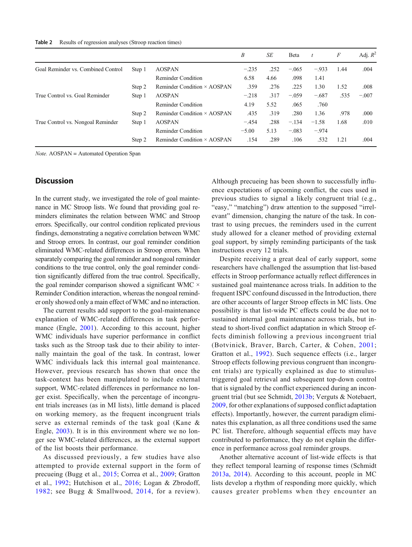<span id="page-8-0"></span>

|                                    |        |                                    | B       | SE   | <b>B</b> eta | $\boldsymbol{t}$ | F    | Adj. $R^2$ |
|------------------------------------|--------|------------------------------------|---------|------|--------------|------------------|------|------------|
| Goal Reminder vs. Combined Control | Step 1 | <b>AOSPAN</b>                      | $-.235$ | .252 | $-.065$      | $-.933$          | 1.44 | .004       |
|                                    |        | Reminder Condition                 | 6.58    | 4.66 | .098         | 1.41             |      |            |
|                                    | Step 2 | Reminder Condition × AOSPAN        | .359    | .276 | .225         | 1.30             | 1.52 | .008       |
| True Control vs. Goal Reminder     | Step 1 | <b>AOSPAN</b>                      | $-.218$ | .317 | $-.059$      | $-.687$          | .535 | $-.007$    |
|                                    |        | Reminder Condition                 | 4.19    | 5.52 | .065         | .760             |      |            |
|                                    | Step 2 | Reminder Condition $\times$ AOSPAN | .435    | .319 | .280         | 1.36             | .978 | .000       |
| True Control vs. Nongoal Reminder  | Step 1 | <b>AOSPAN</b>                      | $-.454$ | .288 | $-.134$      | $-1.58$          | 1.68 | .010       |
|                                    |        | Reminder Condition                 | $-5.00$ | 5.13 | $-.083$      | $-.974$          |      |            |
|                                    | Step 2 | Reminder Condition $\times$ AOSPAN | .154    | .289 | .106         | .532             | 1.21 | .004       |

Note. AOSPAN = Automated Operation Span

#### **Discussion**

In the current study, we investigated the role of goal maintenance in MC Stroop lists. We found that providing goal reminders eliminates the relation between WMC and Stroop errors. Specifically, our control condition replicated previous findings, demonstrating a negative correlation between WMC and Stroop errors. In contrast, our goal reminder condition eliminated WMC-related differences in Stroop errors. When separately comparing the goal reminder and nongoal reminder conditions to the true control, only the goal reminder condition significantly differed from the true control. Specifically, the goal reminder comparison showed a significant WMC  $\times$ Reminder Condition interaction, whereas the nongoal reminder only showed only a main effect of WMC and no interaction.

The current results add support to the goal-maintenance explanation of WMC-related differences in task performance (Engle, [2001](#page-11-0)). According to this account, higher WMC individuals have superior performance in conflict tasks such as the Stroop task due to their ability to internally maintain the goal of the task. In contrast, lower WMC individuals lack this internal goal maintenance. However, previous research has shown that once the task-context has been manipulated to include external support, WMC-related differences in performance no longer exist. Specifically, when the percentage of incongruent trials increases (as in MI lists), little demand is placed on working memory, as the frequent incongruent trials serve as external reminds of the task goal (Kane & Engle, [2003](#page-11-0)). It is in this environment where we no longer see WMC-related differences, as the external support of the list boosts their performance.

As discussed previously, a few studies have also attempted to provide external support in the form of precueing (Bugg et al., [2015](#page-10-0); Correa et al., [2009](#page-11-0); Gratton et al., [1992;](#page-11-0) Hutchison et al., [2016](#page-11-0); Logan & Zbrodoff, [1982](#page-11-0); see Bugg & Smallwood, [2014,](#page-10-0) for a review).

Although precueing has been shown to successfully influence expectations of upcoming conflict, the cues used in previous studies to signal a likely congruent trial (e.g., "easy," "matching") draw attention to the supposed "irrelevant" dimension, changing the nature of the task. In contrast to using precues, the reminders used in the current study allowed for a cleaner method of providing external goal support, by simply reminding participants of the task instructions every 12 trials.

Despite receiving a great deal of early support, some researchers have challenged the assumption that list-based effects in Stroop performance actually reflect differences in sustained goal maintenance across trials. In addition to the frequent ISPC confound discussed in the Introduction, there are other accounts of larger Stroop effects in MC lists. One possibility is that list-wide PC effects could be due not to sustained internal goal maintenance across trials, but instead to short-lived conflict adaptation in which Stroop effects diminish following a previous incongruent trial (Botvinick, Braver, Barch, Carter, & Cohen, [2001;](#page-10-0) Gratton et al., [1992](#page-11-0)). Such sequence effects (i.e., larger Stroop effects following previous congruent than incongruent trials) are typically explained as due to stimulustriggered goal retrieval and subsequent top-down control that is signaled by the conflict experienced during an incongruent trial (but see Schmidt, [2013b;](#page-11-0) Verguts & Notebaert, [2009](#page-12-0), for other explanations of supposed conflict adaptation effects). Importantly, however, the current paradigm eliminates this explanation, as all three conditions used the same PC list. Therefore, although sequential effects may have contributed to performance, they do not explain the difference in performance across goal reminder groups.

Another alternative account of list-wide effects is that they reflect temporal learning of response times (Schmidt [2013a](#page-11-0), [2014](#page-11-0)). According to this account, people in MC lists develop a rhythm of responding more quickly, which causes greater problems when they encounter an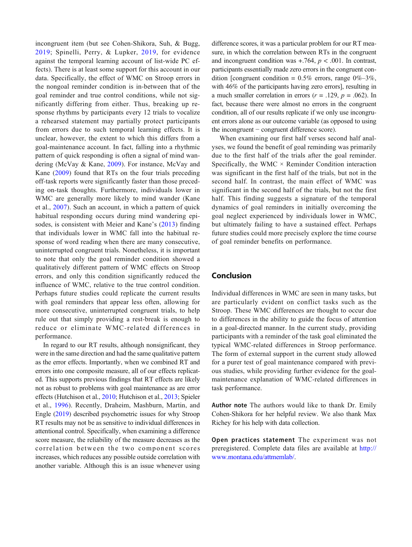incongruent item (but see Cohen-Shikora, Suh, & Bugg, [2019;](#page-10-0) Spinelli, Perry, & Lupker, [2019](#page-11-0), for evidence against the temporal learning account of list-wide PC effects). There is at least some support for this account in our data. Specifically, the effect of WMC on Stroop errors in the nongoal reminder condition is in-between that of the goal reminder and true control conditions, while not significantly differing from either. Thus, breaking up response rhythms by participants every 12 trials to vocalize a rehearsed statement may partially protect participants from errors due to such temporal learning effects. It is unclear, however, the extent to which this differs from a goal-maintenance account. In fact, falling into a rhythmic pattern of quick responding is often a signal of mind wandering (McVay & Kane, [2009\)](#page-11-0). For instance, McVay and Kane ([2009\)](#page-11-0) found that RTs on the four trials preceding off-task reports were significantly faster than those preceding on-task thoughts. Furthermore, individuals lower in WMC are generally more likely to mind wander (Kane et al., [2007\)](#page-11-0). Such an account, in which a pattern of quick habitual responding occurs during mind wandering episodes, is consistent with Meier and Kane's [\(2013\)](#page-11-0) finding that individuals lower in WMC fall into the habitual response of word reading when there are many consecutive, uninterrupted congruent trials. Nonetheless, it is important to note that only the goal reminder condition showed a qualitatively different pattern of WMC effects on Stroop errors, and only this condition significantly reduced the influence of WMC, relative to the true control condition. Perhaps future studies could replicate the current results with goal reminders that appear less often, allowing for more consecutive, uninterrupted congruent trials, to help rule out that simply providing a rest-break is enough to reduce or eliminate WMC-related differences in performance.

In regard to our RT results, although nonsignificant, they were in the same direction and had the same qualitative pattern as the error effects. Importantly, when we combined RT and errors into one composite measure, all of our effects replicated. This supports previous findings that RT effects are likely not as robust to problems with goal maintenance as are error effects (Hutchison et al., [2010;](#page-11-0) Hutchison et al., [2013;](#page-11-0) Spieler et al., [1996\)](#page-11-0). Recently, Draheim, Mashburn, Martin, and Engle [\(2019\)](#page-11-0) described psychometric issues for why Stroop RT results may not be as sensitive to individual differences in attentional control. Specifically, when examining a difference score measure, the reliability of the measure decreases as the correlation between the two component scores increases, which reduces any possible outside correlation with another variable. Although this is an issue whenever using difference scores, it was a particular problem for our RT measure, in which the correlation between RTs in the congruent and incongruent condition was  $+.764, p < .001$ . In contrast, participants essentially made zero errors in the congruent condition [congruent condition =  $0.5\%$  errors, range  $0\% - 3\%$ , with 46% of the participants having zero errors], resulting in a much smaller correlation in errors ( $r = .129$ ,  $p = .062$ ). In fact, because there were almost no errors in the congruent condition, all of our results replicate if we only use incongruent errors alone as our outcome variable (as opposed to using the incongruent − congruent difference score).

When examining our first half verses second half analyses, we found the benefit of goal reminding was primarily due to the first half of the trials after the goal reminder. Specifically, the WMC  $\times$  Reminder Condition interaction was significant in the first half of the trials, but not in the second half. In contrast, the main effect of WMC was significant in the second half of the trials, but not the first half. This finding suggests a signature of the temporal dynamics of goal reminders in initially overcoming the goal neglect experienced by individuals lower in WMC, but ultimately failing to have a sustained effect. Perhaps future studies could more precisely explore the time course of goal reminder benefits on performance.

#### Conclusion

Individual differences in WMC are seen in many tasks, but are particularly evident on conflict tasks such as the Stroop. These WMC differences are thought to occur due to differences in the ability to guide the focus of attention in a goal-directed manner. In the current study, providing participants with a reminder of the task goal eliminated the typical WMC-related differences in Stroop performance. The form of external support in the current study allowed for a purer test of goal maintenance compared with previous studies, while providing further evidence for the goalmaintenance explanation of WMC-related differences in task performance.

Author note The authors would like to thank Dr. Emily Cohen-Shikora for her helpful review. We also thank Max Richey for his help with data collection.

Open practices statement The experiment was not preregistered. Complete data files are available at [http://](http://www.montana.edu/attmemlab/) [www.montana.edu/attmemlab/.](http://www.montana.edu/attmemlab/)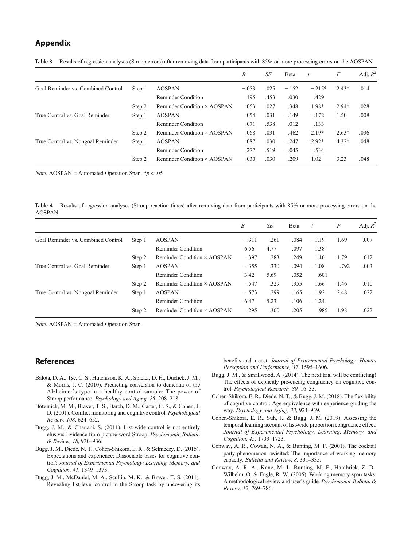#### <span id="page-10-0"></span>Appendix

Table 3 Results of regression analyses (Stroop errors) after removing data from participants with 85% or more processing errors on the AOSPAN

|                                    |        |                                    | B       | SE   | <b>B</b> eta |          | F       | Adj. $R^2$ |
|------------------------------------|--------|------------------------------------|---------|------|--------------|----------|---------|------------|
| Goal Reminder vs. Combined Control | Step 1 | <b>AOSPAN</b>                      | $-.053$ | .025 | $-.152$      | $-.215*$ | $2.43*$ | .014       |
|                                    |        | <b>Reminder Condition</b>          | .195    | .453 | .030         | .429     |         |            |
|                                    | Step 2 | Reminder Condition $\times$ AOSPAN | .053    | .027 | .348         | 1.98*    | $2.94*$ | .028       |
| True Control vs. Goal Reminder     | Step 1 | <b>AOSPAN</b>                      | $-.054$ | .031 | $-.149$      | $-.172$  | 1.50    | .008       |
|                                    |        | Reminder Condition                 | .071    | .538 | .012         | .133     |         |            |
|                                    | Step 2 | Reminder Condition $\times$ AOSPAN | .068    | .031 | .462         | $2.19*$  | $2.63*$ | .036       |
| True Control vs. Nongoal Reminder  | Step 1 | <b>AOSPAN</b>                      | $-.087$ | .030 | $-.247$      | $-2.92*$ | $4.32*$ | .048       |
|                                    |        | Reminder Condition                 | $-.277$ | .519 | $-.045$      | $-.534$  |         |            |
|                                    | Step 2 | Reminder Condition $\times$ AOSPAN | .030    | .030 | .209         | 1.02     | 3.23    | .048       |

*Note.* AOSPAN = Automated Operation Span.  $* p < .05$ 

Table 4 Results of regression analyses (Stroop reaction times) after removing data from participants with 85% or more processing errors on the AOSPAN

|                                    |        |                                    | B       | SE   | <b>B</b> eta | $\boldsymbol{t}$ | F    | Adj. $R^2$ |
|------------------------------------|--------|------------------------------------|---------|------|--------------|------------------|------|------------|
| Goal Reminder vs. Combined Control | Step 1 | <b>AOSPAN</b>                      | $-.311$ | .261 | $-.084$      | $-1.19$          | 1.69 | .007       |
|                                    |        | Reminder Condition                 | 6.56    | 4.77 | .097         | 1.38             |      |            |
|                                    | Step 2 | Reminder Condition × AOSPAN        | .397    | .283 | .249         | 1.40             | 1.79 | .012       |
| True Control vs. Goal Reminder     | Step 1 | <b>AOSPAN</b>                      | $-.355$ | .330 | $-.094$      | $-1.08$          | .792 | $-.003$    |
|                                    |        | Reminder Condition                 | 3.42    | 5.69 | .052         | .601             |      |            |
|                                    | Step 2 | Reminder Condition $\times$ AOSPAN | .547    | .329 | .355         | 1.66             | 1.46 | .010       |
| True Control vs. Nongoal Reminder  | Step 1 | <b>AOSPAN</b>                      | $-.573$ | .299 | $-.165$      | $-1.92$          | 2.48 | .022       |
|                                    |        | Reminder Condition                 | $-6.47$ | 5.23 | $-.106$      | $-1.24$          |      |            |
|                                    | Step 2 | Reminder Condition $\times$ AOSPAN | .295    | .300 | .205         | .985             | 1.98 | .022       |

Note. AOSPAN = Automated Operation Span

#### References

- Balota, D. A., Tse, C. S., Hutchison, K. A., Spieler, D. H., Duchek, J. M., & Morris, J. C. (2010). Predicting conversion to dementia of the Alzheimer's type in a healthy control sample: The power of Stroop performance. Psychology and Aging, 25, 208–218.
- Botvinick, M. M., Braver, T. S., Barch, D. M., Carter, C. S., & Cohen, J. D. (2001). Conflict monitoring and cognitive control. Psychological Review, 108, 624–652.
- Bugg, J. M., & Chanani, S. (2011). List-wide control is not entirely elusive: Evidence from picture-word Stroop. Psychonomic Bulletin & Review, 18, 930–936.
- Bugg, J. M., Diede, N. T., Cohen-Shikora, E. R., & Selmeczy, D. (2015). Expectations and experience: Dissociable bases for cognitive control? Journal of Experimental Psychology: Learning, Memory, and Cognition, 41, 1349–1373.
- Bugg, J. M., McDaniel, M. A., Scullin, M. K., & Braver, T. S. (2011). Revealing list-level control in the Stroop task by uncovering its

benefits and a cost. Journal of Experimental Psychology: Human Perception and Performance, 37, 1595–1606.

- Bugg, J. M., & Smallwood, A. (2014). The next trial will be conflicting! The effects of explicitly pre-cueing congruency on cognitive control. Psychological Research, 80, 16–33.
- Cohen-Shikora, E. R., Diede, N. T., & Bugg, J. M. (2018). The flexibility of cognitive control: Age equivalence with experience guiding the way. Psychology and Aging, 33, 924–939.
- Cohen-Shikora, E. R., Suh, J., & Bugg, J. M. (2019). Assessing the temporal learning account of list-wide proportion congruence effect. Journal of Experimental Psychology: Learning, Memory, and Cognition, 45, 1703–1723.
- Conway, A. R., Cowan, N. A., & Bunting, M. F. (2001). The cocktail party phenomenon revisited: The importance of working memory capacity. Bulletin and Review, 8, 331–335.
- Conway, A. R. A., Kane, M. J., Bunting, M. F., Hambrick, Z. D., Wilhelm, O. & Engle, R. W. (2005). Working memory span tasks: A methodological review and user's guide. Psychonomic Bulletin & Review, 12, 769–786.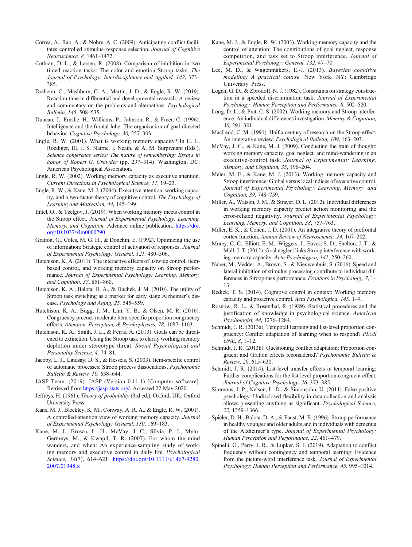- <span id="page-11-0"></span>Correa, A., Rao, A., & Nobre, A. C. (2009). Anticipating conflict facilitates controlled stimulus–response selection. Journal of Cognitive Neuroscience, 8, 1461–1472.
- Cothran, D. L., & Larsen, R. (2008). Comparison of inhibition in two timed reaction tasks: The color and emotion Stroop tasks. The Journal of Psychology: Interdisciplinary and Applied, 142, 373– 385.
- Draheim, C., Mashburn, C. A., Martin, J. D., & Engle, R. W. (2019). Reaction time in differential and developmental research: A review and commentary on the problems and alternatives. Psychological Bulletin, 145, 508–535.
- Duncan, J., Emslie, H., Williams, P., Johnson, R., & Freer, C. (1996). Intelligence and the frontal lobe: The organization of goal-directed behavior. Cognitive Psychology, 30, 257–303.
- Engle, R. W. (2001). What is working memory capacity? In H. L. Roediger, III, J. S. Nairne, I. Neath, & A. M. Surprenant (Eds.), Science conference series: The nature of remembering: Essays in honor of Robert G. Crowder (pp. 297–314). Washington, DC: American Psychological Association.
- Engle, R. W. (2002). Working memory capacity as executive attention. Current Directions in Psychological Science, 11, 19–23.
- Engle, R. W., & Kane, M. J. (2004). Executive attention, working capacity, and a two-factor theory of cognitive control. The Psychology of Learning and Motivation, 44, 145–199.
- Entel, O., & Tzelgov, J. (2019). When working memory meets control in the Stroop effect. Journal of Experimental Psychology: Learning, Memory, and Cognition. Advance online publication. [https://doi.](https://doi.org/10.1037/xlm0000790) [org/10.1037/xlm0000790](https://doi.org/10.1037/xlm0000790)
- Gratton, G., Coles, M. G. H., & Donchin, E. (1992). Optimizing the use of information: Strategic control of activation of responses. Journal of Experimental Psychology: General, 121, 480–506.
- Hutchison, K. A. (2011). The interactive effects of listwide control, itembased control, and working memory capacity on Stroop performance. Journal of Experimental Psychology: Learning, Memory, and Cognition, 37, 851–860.
- Hutchison, K. A., Balota, D. A., & Duchek, J. M. (2010). The utility of Stroop task switching as a marker for early stage Alzheimer's disease. Psychology and Aging, 25, 545–559.
- Hutchison, K. A., Bugg, J. M., Lim, Y. B., & Olsen, M. R. (2016). Congruency precues moderate item-specific proportion congruency effects. Attention, Perception, & Psychophysics, 78, 1087–1103.
- Hutchison, K. A., Smith, J. L., & Ferris, A. (2013). Goals can be threatened to extinction: Using the Stroop task to clarify working memory depletion under stereotype threat. Social Psychological and Personality Science, 4, 74–81.
- Jacoby, L. J., Lindsay, D. S., & Hessels, S. (2003). Item-specific control of automatic processes: Stroop process dissociations. Psychonomic Bulletin & Review, 10, 638–644.
- JASP Team. (2019). JASP (Version 0.11.1) [Computer software]. Retrieved from [https://jasp-stats.org/.](https://jasp-tats.org/) Accessed 22 May 2020.
- Jeffreys, H. (1961). Theory of probability (3rd ed.). Oxford, UK: Oxford University Press.
- Kane, M. J., Bleckley, K. M., Conway, A. R. A., & Engle, R. W. (2001). A controlled-attention view of working memory capacity. Journal of Experimental Psychology: General, 130, 169–183.
- Kane, M. J., Brown, L. H., McVay, J. C., Silvia, P. J., Myin-Germeys, M., & Kwapil, T. R. (2007). For whom the mind wanders, and when: An experience-sampling study of working memory and executive control in daily life. Psychological Science, 18(7), 614-621. [https://doi.org/10.1111/j.1467-9280.](https://doi.org/10.1111/j.1467-9280.2007.01948.x) [2007.01948.x](https://doi.org/10.1111/j.1467-9280.2007.01948.x)
- Kane, M. J., & Engle, R. W. (2003). Working-memory capacity and the control of attention: The contributions of goal neglect, response competition, and task set to Stroop interference. Journal of Experimental Psychology: General, 132, 47–70.
- Lee, M. D., & Wagenmakers, E.-J. (2013). Bayesian cognitive modeling: A practical course. New York, NY: Cambridge University Press.
- Logan, G. D., & Zbrodoff, N. J. (1982). Constraints on strategy construction in a speeded discrimination task. Journal of Experimental Psychology: Human Perception and Performance, 8, 502–520.
- Long, D. L., & Prat, C. S. (2002). Working memory and Stroop interference: An individual differences investigation. Memory & Cognition, 30, 294–301.
- MacLeod, C. M. (1991). Half a century of research on the Stroop effect: An integrative review. Psychological Bulletin, 109, 163–203.
- McVay, J. C., & Kane, M. J. (2009). Conducting the train of thought: working memory capacity, goal neglect, and mind-wandering in an executive-control task. Journal of Experimental: Learning, Memory, and Cognition, 35, 196–204.
- Meier, M. E., & Kane, M. J. (2013). Working memory capacity and Stroop interference: Global versus local indices of executive control. Journal of Experimental Psychology: Learning, Memory, and Cognition, 39, 748–759.
- Miller, A., Watson, J. M., & Strayer, D. L. (2012). Individual differences in working memory capacity predict action monitoring and the error-related negativity. Journal of Experimental Psychology: Learning, Memory, and Cognition, 38, 757–763.
- Miller, E. K., & Cohen, J. D. (2001). An integrative theory of prefrontal cortex function. Annual Review of Neuroscience, 24, 167–202.
- Morey, C. C., Elliott, E. M., Wiggers, J., Eaves, S. D., Shelton, J. T., & Mall, J. T. (2012). Goal neglect links Stroop interference with working memory capacity. Acta Psychologica, 141, 250–260.
- Naber, M., Vedder, A., Brown, S., & Nieuwenhuis, S. (2016). Speed and lateral inhibition of stimulus processing contribute to individual differences in Stroop-task performance. Frontiers in Psychology, 7, 1– 13.
- Redick, T. S. (2014). Cognitive control in context: Working memory capacity and proactive control. Acta Psychologica, 145, 1–9.
- Rosnow, R. L., & Rosenthal, R. (1989). Statistical procedures and the justification of knowledge in psychological science. American Psychologist, 44, 1276–1284.
- Schmidt, J. R. (2013a). Temporal learning and list-level proportion congruency: Conflict adaptation of learning when to respond? PLOS ONE, 8, 1–12.
- Schmidt, J. R. (2013b). Questioning conflict adaptation: Proportion congruent and Gratton effects reconsidered? Psychonomic Bulletin & Review, 20, 615–630.
- Schmidt, J. R. (2014). List-level transfer effects in temporal learning: Further complications for the list-level proportion congruent effect. Journal of Cognitive Psychology, 26, 373–385.
- Simmons, J. P., Nelson, L. D., & Simonsohn, U. (2011). False-positive psychology: Undisclosed flexibility in data collection and analysis allows presenting anything as significant. Psychological Science, 22, 1359–1366.
- Spieler, D. H., Balota, D. A., & Faust, M. E. (1996). Stroop performance in healthy younger and older adults and in individuals with dementia of the Alzheimer's type. Journal of Experimental Psychology: Human Perception and Performance, 22, 461–479.
- Spinelli, G., Perry, J. R., & Lupker, S. J. (2019). Adaptation to conflict frequency without contingency and temporal learning: Evidence from the picture-word interference task. Journal of Experimental Psychology: Human Perception and Performance, 45, 995–1014.